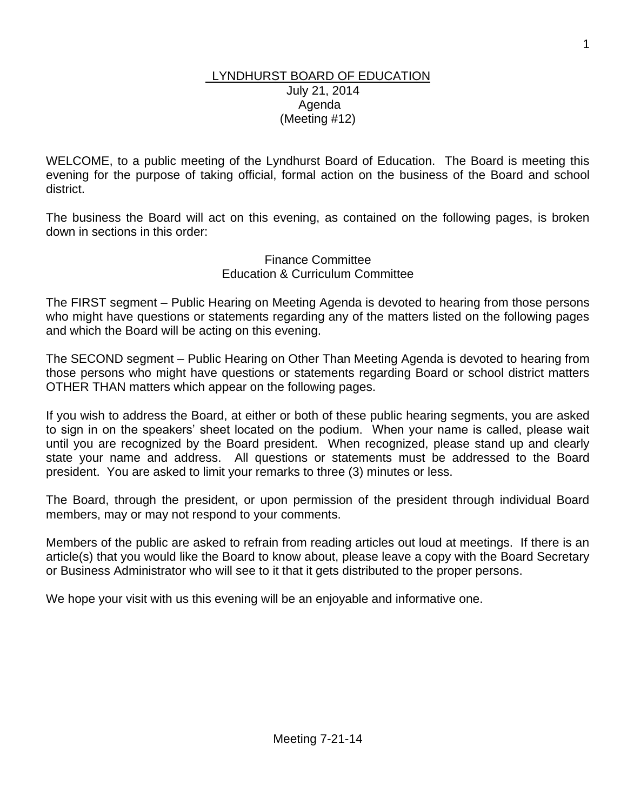#### LYNDHURST BOARD OF EDUCATION July 21, 2014 Agenda (Meeting #12)

WELCOME, to a public meeting of the Lyndhurst Board of Education. The Board is meeting this evening for the purpose of taking official, formal action on the business of the Board and school district.

The business the Board will act on this evening, as contained on the following pages, is broken down in sections in this order:

> Finance Committee Education & Curriculum Committee

The FIRST segment – Public Hearing on Meeting Agenda is devoted to hearing from those persons who might have questions or statements regarding any of the matters listed on the following pages and which the Board will be acting on this evening.

The SECOND segment – Public Hearing on Other Than Meeting Agenda is devoted to hearing from those persons who might have questions or statements regarding Board or school district matters OTHER THAN matters which appear on the following pages.

If you wish to address the Board, at either or both of these public hearing segments, you are asked to sign in on the speakers' sheet located on the podium. When your name is called, please wait until you are recognized by the Board president. When recognized, please stand up and clearly state your name and address. All questions or statements must be addressed to the Board president. You are asked to limit your remarks to three (3) minutes or less.

The Board, through the president, or upon permission of the president through individual Board members, may or may not respond to your comments.

Members of the public are asked to refrain from reading articles out loud at meetings. If there is an article(s) that you would like the Board to know about, please leave a copy with the Board Secretary or Business Administrator who will see to it that it gets distributed to the proper persons.

We hope your visit with us this evening will be an enjoyable and informative one.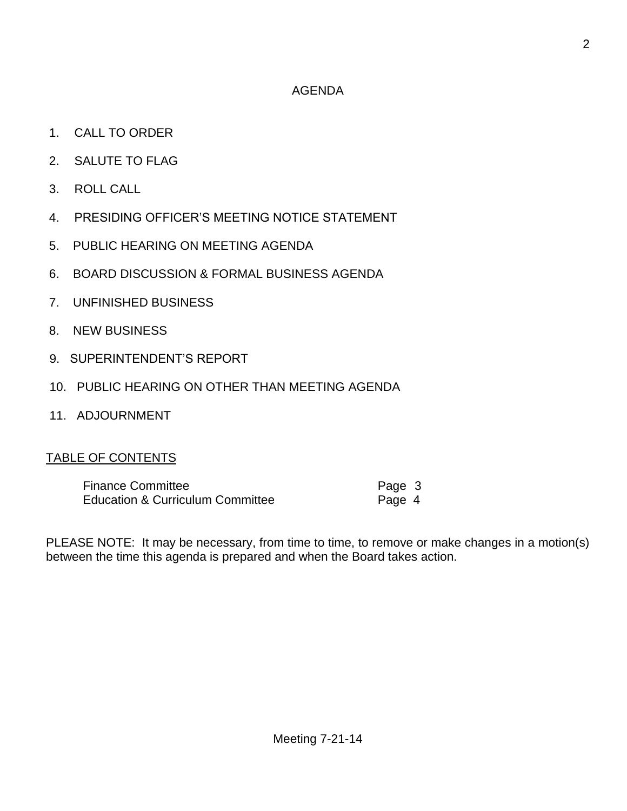# AGENDA

- 1. CALL TO ORDER
- 2. SALUTE TO FLAG
- 3. ROLL CALL
- 4. PRESIDING OFFICER'S MEETING NOTICE STATEMENT
- 5. PUBLIC HEARING ON MEETING AGENDA
- 6. BOARD DISCUSSION & FORMAL BUSINESS AGENDA
- 7. UNFINISHED BUSINESS
- 8. NEW BUSINESS
- 9. SUPERINTENDENT'S REPORT
- 10. PUBLIC HEARING ON OTHER THAN MEETING AGENDA
- 11. ADJOURNMENT

## TABLE OF CONTENTS

| <b>Finance Committee</b>                    | Page 3 |  |
|---------------------------------------------|--------|--|
| <b>Education &amp; Curriculum Committee</b> | Page 4 |  |

PLEASE NOTE: It may be necessary, from time to time, to remove or make changes in a motion(s) between the time this agenda is prepared and when the Board takes action.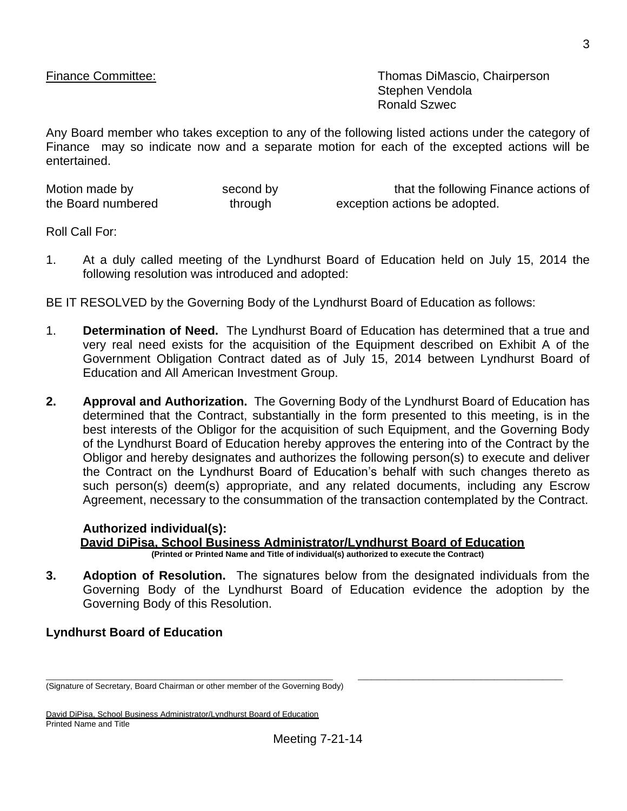Finance Committee: Thomas DiMascio, Chairperson Stephen Vendola Ronald Szwec

Any Board member who takes exception to any of the following listed actions under the category of Finance may so indicate now and a separate motion for each of the excepted actions will be entertained.

| Motion made by     | second by | that the following Finance actions of |
|--------------------|-----------|---------------------------------------|
| the Board numbered | through   | exception actions be adopted.         |

Roll Call For:

1. At a duly called meeting of the Lyndhurst Board of Education held on July 15, 2014 the following resolution was introduced and adopted:

BE IT RESOLVED by the Governing Body of the Lyndhurst Board of Education as follows:

- 1. **Determination of Need.** The Lyndhurst Board of Education has determined that a true and very real need exists for the acquisition of the Equipment described on Exhibit A of the Government Obligation Contract dated as of July 15, 2014 between Lyndhurst Board of Education and All American Investment Group.
- **2. Approval and Authorization.** The Governing Body of the Lyndhurst Board of Education has determined that the Contract, substantially in the form presented to this meeting, is in the best interests of the Obligor for the acquisition of such Equipment, and the Governing Body of the Lyndhurst Board of Education hereby approves the entering into of the Contract by the Obligor and hereby designates and authorizes the following person(s) to execute and deliver the Contract on the Lyndhurst Board of Education's behalf with such changes thereto as such person(s) deem(s) appropriate, and any related documents, including any Escrow Agreement, necessary to the consummation of the transaction contemplated by the Contract.

#### **Authorized individual(s): David DiPisa, School Business Administrator/Lyndhurst Board of Education (Printed or Printed Name and Title of individual(s) authorized to execute the Contract)**

**\_\_\_\_\_\_\_\_\_\_\_\_\_\_\_\_\_\_\_\_\_\_\_\_\_\_\_\_\_\_\_\_\_\_\_\_\_\_\_\_\_\_ \_\_\_\_\_\_\_\_\_\_\_\_\_\_\_\_\_\_\_\_\_\_\_\_\_\_\_\_\_\_**

**3. Adoption of Resolution.** The signatures below from the designated individuals from the Governing Body of the Lyndhurst Board of Education evidence the adoption by the Governing Body of this Resolution.

### **Lyndhurst Board of Education**

<sup>(</sup>Signature of Secretary, Board Chairman or other member of the Governing Body)